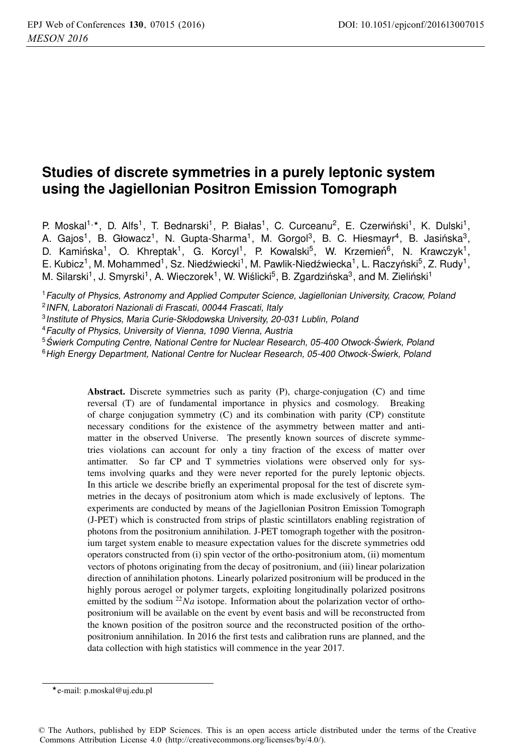# **Studies of discrete symmetries in a purely leptonic system using the Jagiellonian Positron Emission Tomograph**

P. Moskal<sup>1,\*</sup>, D. Alfs<sup>1</sup>, T. Bednarski<sup>1</sup>, P. Białas<sup>1</sup>, C. Curceanu<sup>2</sup>, E. Czerwiński<sup>1</sup>, K. Dulski<sup>1</sup>, A. Gajos<sup>1</sup>, B. Głowacz<sup>1</sup>, N. Gupta-Sharma<sup>1</sup>, M. Gorgol<sup>3</sup>, B. C. Hiesmayr<sup>4</sup>, B. Jasińska<sup>3</sup>, D. Kamińska<sup>1</sup>, O. Khreptak<sup>1</sup>, G. Korcyl<sup>1</sup>, P. Kowalski<sup>5</sup>, W. Krzemień<sup>6</sup>, N. Krawczyk<sup>1</sup>, E. Kubicz<sup>1</sup>, M. Mohammed<sup>1</sup>, Sz. Niedźwiecki<sup>1</sup>, M. Pawlik-Niedźwiecka<sup>1</sup>, L. Raczyński<sup>5</sup>, Z. Rudy<sup>1</sup>, M. Silarski<sup>1</sup>, J. Smyrski<sup>1</sup>, A. Wieczorek<sup>1</sup>, W. Wiślicki<sup>5</sup>, B. Zgardzińska<sup>3</sup>, and M. Zieliński<sup>1</sup>

<sup>1</sup> Faculty of Physics, Astronomy and Applied Computer Science, Jagiellonian University, Cracow, Poland <sup>2</sup>INFN, Laboratori Nazionali di Frascati, 00044 Frascati, Italy

- <sup>3</sup> Institute of Physics, Maria Curie-Skłodowska University, 20-031 Lublin, Poland
- <sup>4</sup>Faculty of Physics, University of Vienna, 1090 Vienna, Austria

<sup>5</sup> Świerk Computing Centre, National Centre for Nuclear Research, 05-400 Otwock-Świerk, Poland

<sup>6</sup> High Energy Department, National Centre for Nuclear Research, 05-400 Otwock-Świerk. Poland

Abstract. Discrete symmetries such as parity (P), charge-conjugation (C) and time reversal (T) are of fundamental importance in physics and cosmology. Breaking of charge conjugation symmetry (C) and its combination with parity (CP) constitute necessary conditions for the existence of the asymmetry between matter and antimatter in the observed Universe. The presently known sources of discrete symmetries violations can account for only a tiny fraction of the excess of matter over antimatter. So far CP and T symmetries violations were observed only for systems involving quarks and they were never reported for the purely leptonic objects. In this article we describe briefly an experimental proposal for the test of discrete symmetries in the decays of positronium atom which is made exclusively of leptons. The experiments are conducted by means of the Jagiellonian Positron Emission Tomograph (J-PET) which is constructed from strips of plastic scintillators enabling registration of photons from the positronium annihilation. J-PET tomograph together with the positronium target system enable to measure expectation values for the discrete symmetries odd operators constructed from (i) spin vector of the ortho-positronium atom, (ii) momentum vectors of photons originating from the decay of positronium, and (iii) linear polarization direction of annihilation photons. Linearly polarized positronium will be produced in the highly porous aerogel or polymer targets, exploiting longitudinally polarized positrons emitted by the sodium  $^{22}Na$  isotope. Information about the polarization vector of orthopositronium will be available on the event by event basis and will be reconstructed from the known position of the positron source and the reconstructed position of the orthopositronium annihilation. In 2016 the first tests and calibration runs are planned, and the data collection with high statistics will commence in the year 2017.

<sup>-</sup>e-mail: p.moskal@uj.edu.pl

<sup>©</sup> The Authors, published by EDP Sciences. This is an open access article distributed under the terms of the Creative Commons Attribution License 4.0 (http://creativecommons.org/licenses/by/4.0/).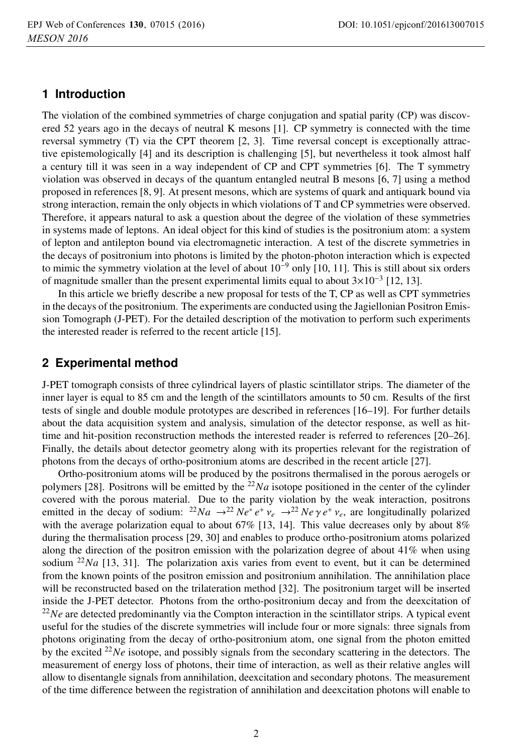## **1 Introduction**

The violation of the combined symmetries of charge conjugation and spatial parity (CP) was discovered 52 years ago in the decays of neutral K mesons [1]. CP symmetry is connected with the time reversal symmetry (T) via the CPT theorem [2, 3]. Time reversal concept is exceptionally attractive epistemologically [4] and its description is challenging [5], but nevertheless it took almost half a century till it was seen in a way independent of CP and CPT symmetries [6]. The T symmetry violation was observed in decays of the quantum entangled neutral B mesons [6, 7] using a method proposed in references [8, 9]. At present mesons, which are systems of quark and antiquark bound via strong interaction, remain the only objects in which violations of T and CP symmetries were observed. Therefore, it appears natural to ask a question about the degree of the violation of these symmetries in systems made of leptons. An ideal object for this kind of studies is the positronium atom: a system of lepton and antilepton bound via electromagnetic interaction. A test of the discrete symmetries in the decays of positronium into photons is limited by the photon-photon interaction which is expected to mimic the symmetry violation at the level of about  $10^{-9}$  only [10, 11]. This is still about six orders of magnitude smaller than the present experimental limits equal to about  $3\times10^{-3}$  [12, 13].

In this article we briefly describe a new proposal for tests of the T, CP as well as CPT symmetries in the decays of the positronium. The experiments are conducted using the Jagiellonian Positron Emission Tomograph (J-PET). For the detailed description of the motivation to perform such experiments the interested reader is referred to the recent article [15].

#### **2 Experimental method**

J-PET tomograph consists of three cylindrical layers of plastic scintillator strips. The diameter of the inner layer is equal to 85 cm and the length of the scintillators amounts to 50 cm. Results of the first tests of single and double module prototypes are described in references [16–19]. For further details about the data acquisition system and analysis, simulation of the detector response, as well as hittime and hit-position reconstruction methods the interested reader is referred to references [20–26]. Finally, the details about detector geometry along with its properties relevant for the registration of photons from the decays of ortho-positronium atoms are described in the recent article [27].

Ortho-positronium atoms will be produced by the positrons thermalised in the porous aerogels or polymers [28]. Positrons will be emitted by the  $^{22}Na$  isotope positioned in the center of the cylinder covered with the porous material. Due to the parity violation by the weak interaction, positrons emitted in the decay of sodium: <sup>22</sup>*Na*  $\rightarrow$ <sup>22</sup>*Ne*<sup>*e*</sup>  $\rightarrow$ <sup>2</sup>*Ne*  $\gamma$ *e*<sup>+</sup>  $\gamma$ <sub>*e*</sub>, are longitudinally polarized with the average polarization equal to about 67% [13, 14]. This value decreases only by about 8% during the thermalisation process [29, 30] and enables to produce ortho-positronium atoms polarized along the direction of the positron emission with the polarization degree of about 41% when using sodium  $^{22}Na$  [13, 31]. The polarization axis varies from event to event, but it can be determined from the known points of the positron emission and positronium annihilation. The annihilation place will be reconstructed based on the trilateration method [32]. The positronium target will be inserted inside the J-PET detector. Photons from the ortho-positronium decay and from the deexcitation of <sup>22</sup>*Ne* are detected predominantly via the Compton interaction in the scintillator strips. A typical event useful for the studies of the discrete symmetries will include four or more signals: three signals from photons originating from the decay of ortho-positronium atom, one signal from the photon emitted by the excited <sup>22</sup>*Ne* isotope, and possibly signals from the secondary scattering in the detectors. The measurement of energy loss of photons, their time of interaction, as well as their relative angles will allow to disentangle signals from annihilation, deexcitation and secondary photons. The measurement of the time difference between the registration of annihilation and deexcitation photons will enable to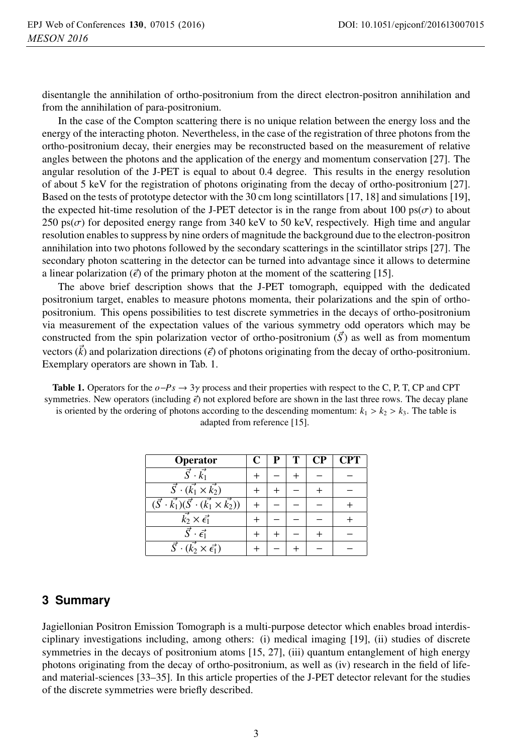disentangle the annihilation of ortho-positronium from the direct electron-positron annihilation and from the annihilation of para-positronium.

In the case of the Compton scattering there is no unique relation between the energy loss and the energy of the interacting photon. Nevertheless, in the case of the registration of three photons from the ortho-positronium decay, their energies may be reconstructed based on the measurement of relative angles between the photons and the application of the energy and momentum conservation [27]. The angular resolution of the J-PET is equal to about 0.4 degree. This results in the energy resolution of about 5 keV for the registration of photons originating from the decay of ortho-positronium [27]. Based on the tests of prototype detector with the 30 cm long scintillators [17, 18] and simulations [19], the expected hit-time resolution of the J-PET detector is in the range from about 100 ps( $\sigma$ ) to about 250 ps( $\sigma$ ) for deposited energy range from 340 keV to 50 keV, respectively. High time and angular resolution enables to suppress by nine orders of magnitude the background due to the electron-positron annihilation into two photons followed by the secondary scatterings in the scintillator strips [27]. The secondary photon scattering in the detector can be turned into advantage since it allows to determine a linear polarization ( $\vec{\epsilon}$ ) of the primary photon at the moment of the scattering [15].

The above brief description shows that the J-PET tomograph, equipped with the dedicated positronium target, enables to measure photons momenta, their polarizations and the spin of orthopositronium. This opens possibilities to test discrete symmetries in the decays of ortho-positronium via measurement of the expectation values of the various symmetry odd operators which may be constructed from the spin polarization vector of ortho-positronium  $(\bar{S})$  as well as from momentum vectors  $(\vec{k})$  and polarization directions ( $\vec{\epsilon}$ ) of photons originating from the decay of ortho-positronium. Exemplary operators are shown in Tab. 1.

**Table 1.** Operators for the  $o-Ps \to 3\gamma$  process and their properties with respect to the C, P, T, CP and CPT symmetries. New operators (including  $\vec{\epsilon}$ ) not explored before are shown in the last three rows. The decay plane is oriented by the ordering of photons according to the descending momentum:  $k_1 > k_2 > k_3$ . The table is

| Operator                                                                           | C | р | Т | <b>CP</b> | <b>CPT</b> |
|------------------------------------------------------------------------------------|---|---|---|-----------|------------|
| $\vec{S} \cdot \vec{k_1}$                                                          |   |   |   |           |            |
| $\vec{S} \cdot (\vec{k_1} \times \vec{k_2})$                                       |   |   |   |           |            |
| $\overrightarrow{(\vec{S}\cdot\vec{k_1})(\vec{S}\cdot(\vec{k_1}\times\vec{k_2}))}$ |   |   |   |           |            |
| $\vec{k_2} \times \vec{\epsilon_1}$                                                |   |   |   |           |            |
| $\overrightarrow{S} \cdot \vec{\epsilon_1}$                                        |   |   |   |           |            |
| $\overrightarrow{S}\cdot(\overrightarrow{k_2}\times\overrightarrow{\epsilon_1})$   |   |   |   |           |            |

adapted from reference [15].

#### **3 Summary**

Jagiellonian Positron Emission Tomograph is a multi-purpose detector which enables broad interdisciplinary investigations including, among others: (i) medical imaging [19], (ii) studies of discrete symmetries in the decays of positronium atoms [15, 27], (iii) quantum entanglement of high energy photons originating from the decay of ortho-positronium, as well as (iv) research in the field of lifeand material-sciences [33–35]. In this article properties of the J-PET detector relevant for the studies of the discrete symmetries were briefly described.